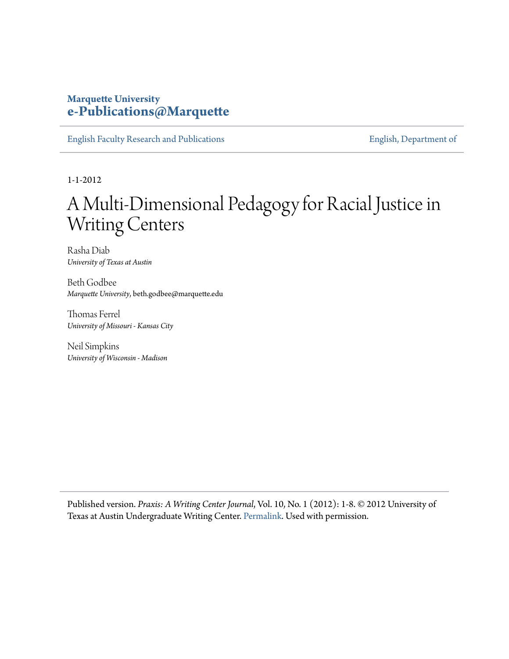## **Marquette University [e-Publications@Marquette](https://epublications.marquette.edu)**

[English Faculty Research and Publications](https://epublications.marquette.edu/english_fac) **[English, Department of](https://epublications.marquette.edu/english)** English, Department of

1-1-2012

# A Multi-Dimensional Pedagogy for Racial Justice in Writing Centers

Rasha Diab *University of Texas at Austin*

Beth Godbee *Marquette University*, beth.godbee@marquette.edu

Thomas Ferrel *University of Missouri - Kansas City*

Neil Simpkins *University of Wisconsin - Madison*

Published version. *Praxis: A Writing Center Journal*, Vol. 10, No. 1 (2012): 1-8. © 2012 University of Texas at Austin Undergraduate Writing Center. [Permalink.](http://www.praxisuwc.com/diab-godbee-ferrell-simpkins-101) Used with permission.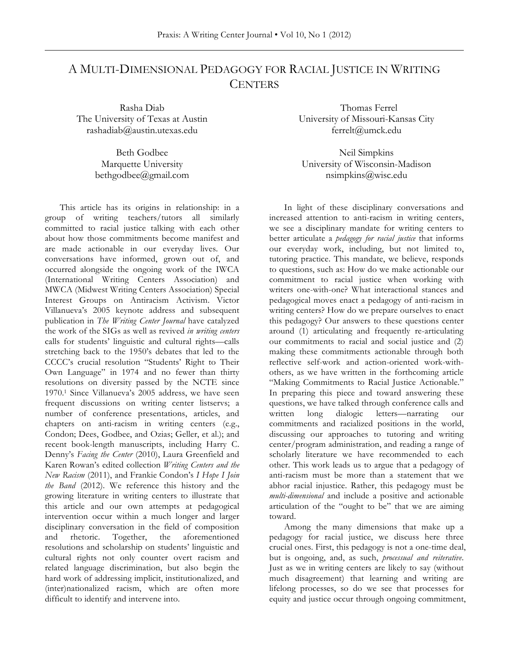# A MULTI-DIMENSIONAL PEDAGOGY FOR RACIAL JUSTICE IN WRITING **CENTERS**

Rasha Diab The University of Texas at Austin rashadiab@austin.utexas.edu

> Beth Godbee Marquette University bethgodbee@gmail.com

This article has its origins in relationship: in a group of writing teachers/tutors all similarly committed to racial justice talking with each other about how those commitments become manifest and are made actionable in our everyday lives. Our conversations have informed, grown out of, and occurred alongside the ongoing work of the IWCA (International Writing Centers Association) and MWCA (Midwest Writing Centers Association) Special Interest Groups on Antiracism Activism. Victor Villanueva's 2005 keynote address and subsequent publication in *The Writing Center Journal* have catalyzed the work of the SIGs as well as revived *in writing centers*  calls for students' linguistic and cultural rights—calls stretching back to the 1950's debates that led to the CCCC's crucial resolution "Students' Right to Their Own Language" in 1974 and no fewer than thirty resolutions on diversity passed by the NCTE since 1970.1 Since Villanueva's 2005 address, we have seen frequent discussions on writing center listservs; a number of conference presentations, articles, and chapters on anti-racism in writing centers (e.g., Condon; Dees, Godbee, and Ozias; Geller, et al.); and recent book-length manuscripts, including Harry C. Denny's *Facing the Center* (2010), Laura Greenfield and Karen Rowan's edited collection *Writing Centers and the New Racism* (2011), and Frankie Condon's *I Hope I Join the Band* (2012). We reference this history and the growing literature in writing centers to illustrate that this article and our own attempts at pedagogical intervention occur within a much longer and larger disciplinary conversation in the field of composition and rhetoric. Together, the aforementioned resolutions and scholarship on students' linguistic and cultural rights not only counter overt racism and related language discrimination, but also begin the hard work of addressing implicit, institutionalized, and (inter)nationalized racism, which are often more difficult to identify and intervene into.

 Thomas Ferrel University of Missouri-Kansas City ferrelt@umck.edu

Neil Simpkins University of Wisconsin-Madison nsimpkins@wisc.edu

In light of these disciplinary conversations and increased attention to anti-racism in writing centers, we see a disciplinary mandate for writing centers to better articulate a *pedagogy for racial justice* that informs our everyday work, including, but not limited to, tutoring practice. This mandate, we believe, responds to questions, such as: How do we make actionable our commitment to racial justice when working with writers one-with-one? What interactional stances and pedagogical moves enact a pedagogy of anti-racism in writing centers? How do we prepare ourselves to enact this pedagogy? Our answers to these questions center around (1) articulating and frequently re-articulating our commitments to racial and social justice and (2) making these commitments actionable through both reflective self-work and action-oriented work-withothers, as we have written in the forthcoming article "Making Commitments to Racial Justice Actionable." In preparing this piece and toward answering these questions, we have talked through conference calls and written long dialogic letters—narrating our commitments and racialized positions in the world, discussing our approaches to tutoring and writing center/program administration, and reading a range of scholarly literature we have recommended to each other. This work leads us to argue that a pedagogy of anti-racism must be more than a statement that we abhor racial injustice. Rather, this pedagogy must be *multi-dimensional* and include a positive and actionable articulation of the "ought to be" that we are aiming toward.

Among the many dimensions that make up a pedagogy for racial justice, we discuss here three crucial ones. First, this pedagogy is not a one-time deal, but is ongoing, and, as such, *processual and reiterative*. Just as we in writing centers are likely to say (without much disagreement) that learning and writing are lifelong processes, so do we see that processes for equity and justice occur through ongoing commitment,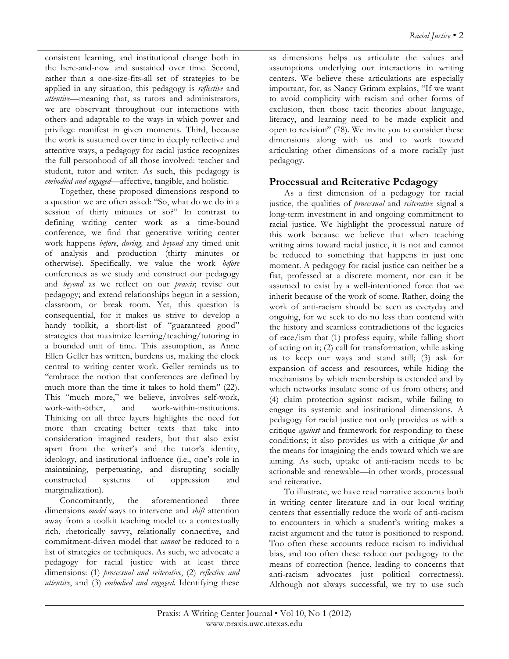consistent learning, and institutional change both in the here-and-now and sustained over time. Second, rather than a one-size-fits-all set of strategies to be applied in any situation, this pedagogy is *reflective* and *attentive*—meaning that, as tutors and administrators, we are observant throughout our interactions with others and adaptable to the ways in which power and privilege manifest in given moments. Third, because the work is sustained over time in deeply reflective and attentive ways, a pedagogy for racial justice recognizes the full personhood of all those involved: teacher and student, tutor and writer. As such, this pedagogy is *embodied and engaged*—affective, tangible, and holistic.

Together, these proposed dimensions respond to a question we are often asked: "So, what do we do in a session of thirty minutes or so?" In contrast to defining writing center work as a time-bound conference, we find that generative writing center work happens *before*, *during,* and *beyond* any timed unit of analysis and production (thirty minutes or otherwise). Specifically, we value the work *before* conferences as we study and construct our pedagogy and *beyond* as we reflect on our *praxis*; revise our pedagogy; and extend relationships begun in a session, classroom, or break room. Yet, this question is consequential, for it makes us strive to develop a handy toolkit, a short-list of "guaranteed good" strategies that maximize learning/teaching/tutoring in a bounded unit of time. This assumption, as Anne Ellen Geller has written, burdens us, making the clock central to writing center work. Geller reminds us to "embrace the notion that conferences are defined by much more than the time it takes to hold them" (22). This "much more," we believe, involves self-work, work-with-other, and work-within-institutions. Thinking on all three layers highlights the need for more than creating better texts that take into consideration imagined readers, but that also exist apart from the writer's and the tutor's identity, ideology, and institutional influence (i.e., one's role in maintaining, perpetuating, and disrupting socially constructed systems of oppression and marginalization).

Concomitantly, the aforementioned three dimensions *model* ways to intervene and *shift* attention away from a toolkit teaching model to a contextually rich, rhetorically savvy, relationally connective, and commitment-driven model that *cannot* be reduced to a list of strategies or techniques. As such, we advocate a pedagogy for racial justice with at least three dimensions: (1) *processual and reiterative*, (2) *reflective and attentive*, and (3) *embodied and engaged*. Identifying these

as dimensions helps us articulate the values and assumptions underlying our interactions in writing centers. We believe these articulations are especially important, for, as Nancy Grimm explains, "If we want to avoid complicity with racism and other forms of exclusion, then those tacit theories about language, literacy, and learning need to be made explicit and open to revision" (78). We invite you to consider these dimensions along with us and to work toward articulating other dimensions of a more racially just pedagogy.

### **Processual and Reiterative Pedagogy**

As a first dimension of a pedagogy for racial justice, the qualities of *processual* and *reiterative* signal a long-term investment in and ongoing commitment to racial justice. We highlight the processual nature of this work because we believe that when teaching writing aims toward racial justice, it is not and cannot be reduced to something that happens in just one moment. A pedagogy for racial justice can neither be a fiat, professed at a discrete moment, nor can it be assumed to exist by a well-intentioned force that we inherit because of the work of some. Rather, doing the work of anti-racism should be seen as everyday and ongoing, for we seek to do no less than contend with the history and seamless contradictions of the legacies of race/ism that (1) profess equity, while falling short of acting on it; (2) call for transformation, while asking us to keep our ways and stand still; (3) ask for expansion of access and resources, while hiding the mechanisms by which membership is extended and by which networks insulate some of us from others; and (4) claim protection against racism, while failing to engage its systemic and institutional dimensions. A pedagogy for racial justice not only provides us with a critique *against* and framework for responding to these conditions; it also provides us with a critique *for* and the means for imagining the ends toward which we are aiming. As such, uptake of anti-racism needs to be actionable and renewable—in other words, processual and reiterative.

To illustrate, we have read narrative accounts both in writing center literature and in our local writing centers that essentially reduce the work of anti-racism to encounters in which a student's writing makes a racist argument and the tutor is positioned to respond. Too often these accounts reduce racism to individual bias, and too often these reduce our pedagogy to the means of correction (hence, leading to concerns that anti-racism advocates just political correctness). Although not always successful, we-try to use such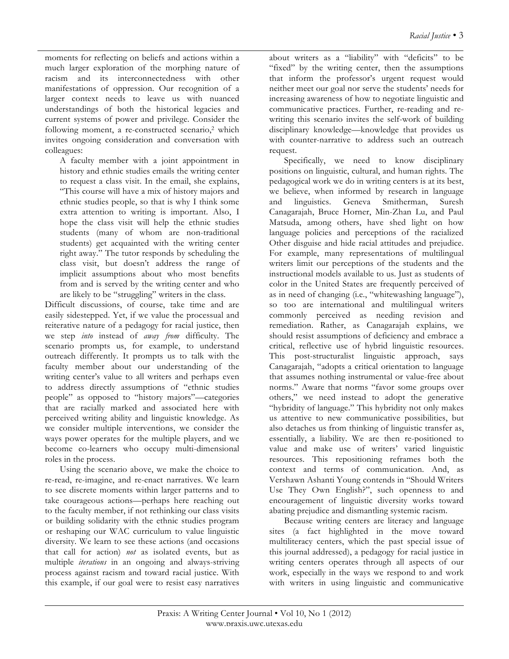moments for reflecting on beliefs and actions within a much larger exploration of the morphing nature of racism and its interconnectedness with other manifestations of oppression. Our recognition of a larger context needs to leave us with nuanced understandings of both the historical legacies and current systems of power and privilege. Consider the following moment, a re-constructed scenario,<sup>2</sup> which invites ongoing consideration and conversation with colleagues:

A faculty member with a joint appointment in history and ethnic studies emails the writing center to request a class visit. In the email, she explains, "This course will have a mix of history majors and ethnic studies people, so that is why I think some extra attention to writing is important. Also, I hope the class visit will help the ethnic studies students (many of whom are non-traditional students) get acquainted with the writing center right away." The tutor responds by scheduling the class visit, but doesn't address the range of implicit assumptions about who most benefits from and is served by the writing center and who are likely to be "struggling" writers in the class.

Difficult discussions, of course, take time and are easily sidestepped. Yet, if we value the processual and reiterative nature of a pedagogy for racial justice, then we step *into* instead of *away from* difficulty. The scenario prompts us, for example, to understand outreach differently. It prompts us to talk with the faculty member about our understanding of the writing center's value to all writers and perhaps even to address directly assumptions of "ethnic studies people" as opposed to "history majors"—categories that are racially marked and associated here with perceived writing ability and linguistic knowledge. As we consider multiple interventions, we consider the ways power operates for the multiple players, and we become co-learners who occupy multi-dimensional roles in the process.

Using the scenario above, we make the choice to re-read, re-imagine, and re-enact narratives. We learn to see discrete moments within larger patterns and to take courageous actions—perhaps here reaching out to the faculty member, if not rethinking our class visits or building solidarity with the ethnic studies program or reshaping our WAC curriculum to value linguistic diversity. We learn to see these actions (and occasions that call for action) *not* as isolated events, but as multiple *iterations* in an ongoing and always-striving process against racism and toward racial justice. With this example, if our goal were to resist easy narratives

about writers as a "liability" with "deficits" to be "fixed" by the writing center, then the assumptions that inform the professor's urgent request would neither meet our goal nor serve the students' needs for increasing awareness of how to negotiate linguistic and communicative practices. Further, re-reading and rewriting this scenario invites the self-work of building disciplinary knowledge—knowledge that provides us with counter-narrative to address such an outreach request.

Specifically, we need to know disciplinary positions on linguistic, cultural, and human rights. The pedagogical work we do in writing centers is at its best, we believe, when informed by research in language and linguistics. Geneva Smitherman, Suresh Canagarajah, Bruce Horner, Min-Zhan Lu, and Paul Matsuda, among others, have shed light on how language policies and perceptions of the racialized Other disguise and hide racial attitudes and prejudice. For example, many representations of multilingual writers limit our perceptions of the students and the instructional models available to us. Just as students of color in the United States are frequently perceived of as in need of changing (i.e., "whitewashing language"), so too are international and multilingual writers commonly perceived as needing revision and remediation. Rather, as Canagarajah explains, we should resist assumptions of deficiency and embrace a critical, reflective use of hybrid linguistic resources. This post-structuralist linguistic approach, says Canagarajah, "adopts a critical orientation to language that assumes nothing instrumental or value-free about norms." Aware that norms "favor some groups over others," we need instead to adopt the generative "hybridity of language." This hybridity not only makes us attentive to new communicative possibilities, but also detaches us from thinking of linguistic transfer as, essentially, a liability. We are then re-positioned to value and make use of writers' varied linguistic resources. This repositioning reframes both the context and terms of communication. And, as Vershawn Ashanti Young contends in "Should Writers Use They Own English?", such openness to and encouragement of linguistic diversity works toward abating prejudice and dismantling systemic racism.

Because writing centers are literacy and language sites (a fact highlighted in the move toward multiliteracy centers, which the past special issue of this journal addressed), a pedagogy for racial justice in writing centers operates through all aspects of our work, especially in the ways we respond to and work with writers in using linguistic and communicative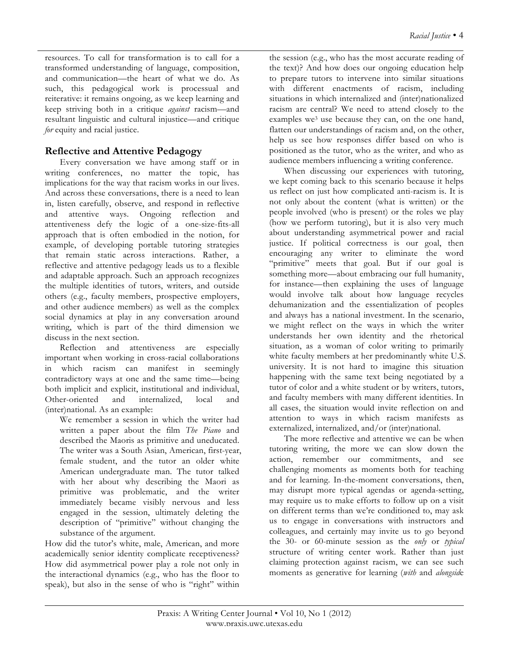resources. To call for transformation is to call for a transformed understanding of language, composition, and communication—the heart of what we do. As such, this pedagogical work is processual and reiterative: it remains ongoing, as we keep learning and keep striving both in a critique *against* racism—and resultant linguistic and cultural injustice—and critique *for* equity and racial justice.

#### **Reflective and Attentive Pedagogy**

Every conversation we have among staff or in writing conferences, no matter the topic, has implications for the way that racism works in our lives. And across these conversations, there is a need to lean in, listen carefully, observe, and respond in reflective and attentive ways. Ongoing reflection and attentiveness defy the logic of a one-size-fits-all approach that is often embodied in the notion, for example, of developing portable tutoring strategies that remain static across interactions. Rather, a reflective and attentive pedagogy leads us to a flexible and adaptable approach. Such an approach recognizes the multiple identities of tutors, writers, and outside others (e.g., faculty members, prospective employers, and other audience members) as well as the complex social dynamics at play in any conversation around writing, which is part of the third dimension we discuss in the next section.

Reflection and attentiveness are especially important when working in cross-racial collaborations in which racism can manifest in seemingly contradictory ways at one and the same time—being both implicit and explicit, institutional and individual, Other-oriented and internalized, local and (inter)national. As an example:

We remember a session in which the writer had written a paper about the film *The Piano* and described the Maoris as primitive and uneducated. The writer was a South Asian, American, first-year, female student, and the tutor an older white American undergraduate man. The tutor talked with her about why describing the Maori as primitive was problematic, and the writer immediately became visibly nervous and less engaged in the session, ultimately deleting the description of "primitive" without changing the substance of the argument.

How did the tutor's white, male, American, and more academically senior identity complicate receptiveness? How did asymmetrical power play a role not only in the interactional dynamics (e.g., who has the floor to speak), but also in the sense of who is "right" within the session (e.g., who has the most accurate reading of the text)? And how does our ongoing education help to prepare tutors to intervene into similar situations with different enactments of racism, including situations in which internalized and (inter)nationalized racism are central? We need to attend closely to the examples we<sup>3</sup> use because they can, on the one hand, flatten our understandings of racism and, on the other, help us see how responses differ based on who is positioned as the tutor, who as the writer, and who as audience members influencing a writing conference.

When discussing our experiences with tutoring, we kept coming back to this scenario because it helps us reflect on just how complicated anti-racism is. It is not only about the content (what is written) or the people involved (who is present) or the roles we play (how we perform tutoring), but it is also very much about understanding asymmetrical power and racial justice. If political correctness is our goal, then encouraging any writer to eliminate the word "primitive" meets that goal. But if our goal is something more—about embracing our full humanity, for instance—then explaining the uses of language would involve talk about how language recycles dehumanization and the essentialization of peoples and always has a national investment. In the scenario, we might reflect on the ways in which the writer understands her own identity and the rhetorical situation, as a woman of color writing to primarily white faculty members at her predominantly white U.S. university. It is not hard to imagine this situation happening with the same text being negotiated by a tutor of color and a white student or by writers, tutors, and faculty members with many different identities. In all cases, the situation would invite reflection on and attention to ways in which racism manifests as externalized, internalized, and/or (inter)national.

The more reflective and attentive we can be when tutoring writing, the more we can slow down the action, remember our commitments, and see challenging moments as moments both for teaching and for learning. In-the-moment conversations, then, may disrupt more typical agendas or agenda-setting, may require us to make efforts to follow up on a visit on different terms than we're conditioned to, may ask us to engage in conversations with instructors and colleagues, and certainly may invite us to go beyond the 30- or 60-minute session as the *only* or *typical* structure of writing center work. Rather than just claiming protection against racism, we can see such moments as generative for learning (*with* and *alongsid*e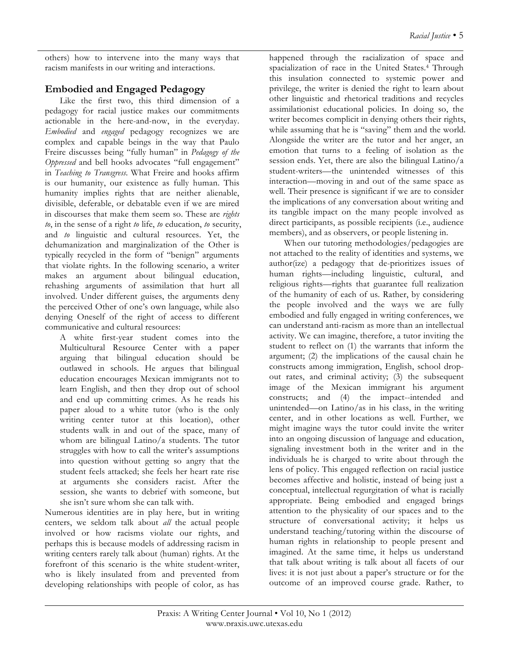others) how to intervene into the many ways that racism manifests in our writing and interactions.

## **Embodied and Engaged Pedagogy**

Like the first two, this third dimension of a pedagogy for racial justice makes our commitments actionable in the here-and-now, in the everyday. *Embodied* and *engaged* pedagogy recognizes we are complex and capable beings in the way that Paulo Freire discusses being "fully human" in *Pedagogy of the Oppressed* and bell hooks advocates "full engagement" in *Teaching to Transgress*. What Freire and hooks affirm is our humanity, our existence as fully human. This humanity implies rights that are neither alienable, divisible, deferable, or debatable even if we are mired in discourses that make them seem so. These are *rights to*, in the sense of a right *to* life, *to* education, *to* security, and *to* linguistic and cultural resources. Yet, the dehumanization and marginalization of the Other is typically recycled in the form of "benign" arguments that violate rights. In the following scenario, a writer makes an argument about bilingual education, rehashing arguments of assimilation that hurt all involved. Under different guises, the arguments deny the perceived Other of one's own language, while also denying Oneself of the right of access to different communicative and cultural resources:

A white first-year student comes into the Multicultural Resource Center with a paper arguing that bilingual education should be outlawed in schools. He argues that bilingual education encourages Mexican immigrants not to learn English, and then they drop out of school and end up committing crimes. As he reads his paper aloud to a white tutor (who is the only writing center tutor at this location), other students walk in and out of the space, many of whom are bilingual Latino/a students. The tutor struggles with how to call the writer's assumptions into question without getting so angry that the student feels attacked; she feels her heart rate rise at arguments she considers racist. After the session, she wants to debrief with someone, but she isn't sure whom she can talk with.

Numerous identities are in play here, but in writing centers, we seldom talk about *all* the actual people involved or how racisms violate our rights, and perhaps this is because models of addressing racism in writing centers rarely talk about (human) rights. At the forefront of this scenario is the white student-writer, who is likely insulated from and prevented from developing relationships with people of color, as has

happened through the racialization of space and spacialization of race in the United States.4 Through this insulation connected to systemic power and privilege, the writer is denied the right to learn about other linguistic and rhetorical traditions and recycles assimilationist educational policies. In doing so, the writer becomes complicit in denying others their rights, while assuming that he is "saving" them and the world. Alongside the writer are the tutor and her anger, an emotion that turns to a feeling of isolation as the session ends. Yet, there are also the bilingual Latino/a student-writers—the unintended witnesses of this interaction—moving in and out of the same space as well. Their presence is significant if we are to consider the implications of any conversation about writing and its tangible impact on the many people involved as direct participants, as possible recipients (i.e., audience members), and as observers, or people listening in.

When our tutoring methodologies/pedagogies are not attached to the reality of identities and systems, we author(ize) a pedagogy that de-prioritizes issues of human rights—including linguistic, cultural, and religious rights—rights that guarantee full realization of the humanity of each of us. Rather, by considering the people involved and the ways we are fully embodied and fully engaged in writing conferences, we can understand anti-racism as more than an intellectual activity. We can imagine, therefore, a tutor inviting the student to reflect on (1) the warrants that inform the argument; (2) the implications of the causal chain he constructs among immigration, English, school dropout rates, and criminal activity; (3) the subsequent image of the Mexican immigrant his argument constructs; and (4) the impact--intended and unintended—on Latino/as in his class, in the writing center, and in other locations as well. Further, we might imagine ways the tutor could invite the writer into an ongoing discussion of language and education, signaling investment both in the writer and in the individuals he is charged to write about through the lens of policy. This engaged reflection on racial justice becomes affective and holistic, instead of being just a conceptual, intellectual regurgitation of what is racially appropriate. Being embodied and engaged brings attention to the physicality of our spaces and to the structure of conversational activity; it helps us understand teaching/tutoring within the discourse of human rights in relationship to people present and imagined. At the same time, it helps us understand that talk about writing is talk about all facets of our lives: it is not just about a paper's structure or for the outcome of an improved course grade. Rather, to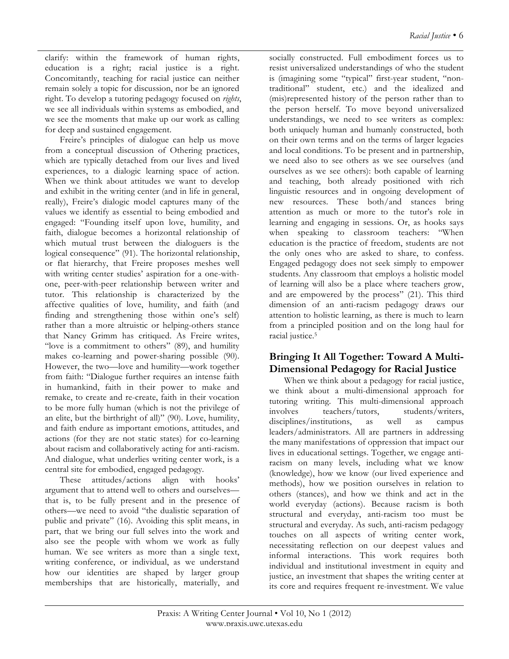clarify: within the framework of human rights, education is a right; racial justice is a right. Concomitantly, teaching for racial justice can neither remain solely a topic for discussion, nor be an ignored right. To develop a tutoring pedagogy focused on *rights*, we see all individuals within systems as embodied, and we see the moments that make up our work as calling for deep and sustained engagement.

Freire's principles of dialogue can help us move from a conceptual discussion of Othering practices, which are typically detached from our lives and lived experiences, to a dialogic learning space of action. When we think about attitudes we want to develop and exhibit in the writing center (and in life in general, really), Freire's dialogic model captures many of the values we identify as essential to being embodied and engaged: "Founding itself upon love, humility, and faith, dialogue becomes a horizontal relationship of which mutual trust between the dialoguers is the logical consequence" (91). The horizontal relationship, or flat hierarchy, that Freire proposes meshes well with writing center studies' aspiration for a one-withone, peer-with-peer relationship between writer and tutor. This relationship is characterized by the affective qualities of love, humility, and faith (and finding and strengthening those within one's self) rather than a more altruistic or helping-others stance that Nancy Grimm has critiqued. As Freire writes, "love is a commitment to others" (89), and humility makes co-learning and power-sharing possible (90). However, the two—love and humility—work together from faith: "Dialogue further requires an intense faith in humankind, faith in their power to make and remake, to create and re-create, faith in their vocation to be more fully human (which is not the privilege of an elite, but the birthright of all)" (90). Love, humility, and faith endure as important emotions, attitudes, and actions (for they are not static states) for co-learning about racism and collaboratively acting for anti-racism. And dialogue, what underlies writing center work, is a central site for embodied, engaged pedagogy.

These attitudes/actions align with hooks' argument that to attend well to others and ourselves that is, to be fully present and in the presence of others—we need to avoid "the dualistic separation of public and private" (16). Avoiding this split means, in part, that we bring our full selves into the work and also see the people with whom we work as fully human. We see writers as more than a single text, writing conference, or individual, as we understand how our identities are shaped by larger group memberships that are historically, materially, and

socially constructed. Full embodiment forces us to resist universalized understandings of who the student is (imagining some "typical" first-year student, "nontraditional" student, etc.) and the idealized and (mis)represented history of the person rather than to the person herself. To move beyond universalized understandings, we need to see writers as complex: both uniquely human and humanly constructed, both on their own terms and on the terms of larger legacies and local conditions. To be present and in partnership, we need also to see others as we see ourselves (and ourselves as we see others): both capable of learning and teaching, both already positioned with rich linguistic resources and in ongoing development of new resources. These both/and stances bring attention as much or more to the tutor's role in learning and engaging in sessions. Or, as hooks says when speaking to classroom teachers: "When education is the practice of freedom, students are not the only ones who are asked to share, to confess. Engaged pedagogy does not seek simply to empower students. Any classroom that employs a holistic model of learning will also be a place where teachers grow, and are empowered by the process" (21). This third dimension of an anti-racism pedagogy draws our attention to holistic learning, as there is much to learn from a principled position and on the long haul for racial justice.5

## **Bringing It All Together: Toward A Multi-Dimensional Pedagogy for Racial Justice**

When we think about a pedagogy for racial justice, we think about a multi-dimensional approach for tutoring writing. This multi-dimensional approach involves teachers/tutors, students/writers, disciplines/institutions, as well as campus leaders/administrators. All are partners in addressing the many manifestations of oppression that impact our lives in educational settings. Together, we engage antiracism on many levels, including what we know (knowledge), how we know (our lived experience and methods), how we position ourselves in relation to others (stances), and how we think and act in the world everyday (actions). Because racism is both structural and everyday, anti-racism too must be structural and everyday. As such, anti-racism pedagogy touches on all aspects of writing center work, necessitating reflection on our deepest values and informal interactions. This work requires both individual and institutional investment in equity and justice, an investment that shapes the writing center at its core and requires frequent re-investment. We value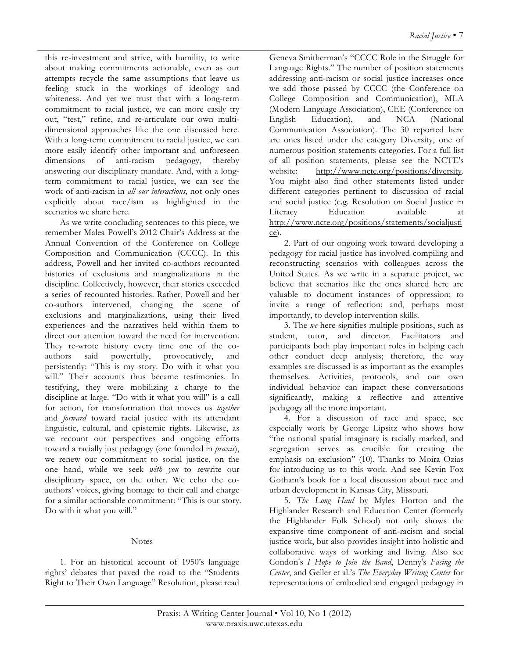this re-investment and strive, with humility, to write about making commitments actionable, even as our attempts recycle the same assumptions that leave us feeling stuck in the workings of ideology and whiteness. And yet we trust that with a long-term commitment to racial justice, we can more easily try out, "test," refine, and re-articulate our own multidimensional approaches like the one discussed here. With a long-term commitment to racial justice, we can more easily identify other important and unforeseen dimensions of anti-racism pedagogy, thereby answering our disciplinary mandate. And, with a longterm commitment to racial justice, we can see the work of anti-racism in *all our interactions*, not only ones explicitly about race/ism as highlighted in the scenarios we share here.

As we write concluding sentences to this piece, we remember Malea Powell's 2012 Chair's Address at the Annual Convention of the Conference on College Composition and Communication (CCCC). In this address, Powell and her invited co-authors recounted histories of exclusions and marginalizations in the discipline. Collectively, however, their stories exceeded a series of recounted histories. Rather, Powell and her co-authors intervened, changing the scene of exclusions and marginalizations, using their lived experiences and the narratives held within them to direct our attention toward the need for intervention. They re-wrote history every time one of the coauthors said powerfully, provocatively, and persistently: "This is my story. Do with it what you will." Their accounts thus became testimonies. In testifying, they were mobilizing a charge to the discipline at large. "Do with it what you will" is a call for action, for transformation that moves us *together* and *forward* toward racial justice with its attendant linguistic, cultural, and epistemic rights. Likewise, as we recount our perspectives and ongoing efforts toward a racially just pedagogy (one founded in *praxis*), we renew our commitment to social justice, on the one hand, while we seek *with you* to rewrite our disciplinary space, on the other. We echo the coauthors' voices, giving homage to their call and charge for a similar actionable commitment: "This is our story. Do with it what you will."

#### Notes

1. For an historical account of 1950's language rights' debates that paved the road to the "Students Right to Their Own Language" Resolution, please read

Geneva Smitherman's "CCCC Role in the Struggle for Language Rights." The number of position statements addressing anti-racism or social justice increases once we add those passed by CCCC (the Conference on College Composition and Communication), MLA (Modern Language Association), CEE (Conference on English Education), and NCA (National Communication Association). The 30 reported here are ones listed under the category Diversity, one of numerous position statements categories. For a full list of all position statements, please see the NCTE's website: http://www.ncte.org/positions/diversity. You might also find other statements listed under different categories pertinent to discussion of racial and social justice (e.g. Resolution on Social Justice in Literacy Education available at http://www.ncte.org/positions/statements/socialjusti ce).

2. Part of our ongoing work toward developing a pedagogy for racial justice has involved compiling and reconstructing scenarios with colleagues across the United States. As we write in a separate project, we believe that scenarios like the ones shared here are valuable to document instances of oppression; to invite a range of reflection; and, perhaps most importantly, to develop intervention skills.

3. The *we* here signifies multiple positions, such as student, tutor, and director. Facilitators and participants both play important roles in helping each other conduct deep analysis; therefore, the way examples are discussed is as important as the examples themselves. Activities, protocols, and our own individual behavior can impact these conversations significantly, making a reflective and attentive pedagogy all the more important.

4. For a discussion of race and space, see especially work by George Lipsitz who shows how "the national spatial imaginary is racially marked, and segregation serves as crucible for creating the emphasis on exclusion" (10). Thanks to Moira Ozias for introducing us to this work. And see Kevin Fox Gotham's book for a local discussion about race and urban development in Kansas City, Missouri.

5. *The Long Haul* by Myles Horton and the Highlander Research and Education Center (formerly the Highlander Folk School) not only shows the expansive time component of anti-racism and social justice work, but also provides insight into holistic and collaborative ways of working and living. Also see Condon's *I Hope to Join the Band*, Denny's *Facing the Center*, and Geller et al.'s *The Everyday Writing Center* for representations of embodied and engaged pedagogy in